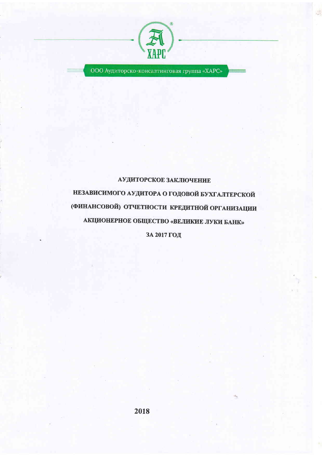

ООО Аудиторско-консалтинговая группа «ХАРС»

# АУДИТОРСКОЕ ЗАКЛЮЧЕНИЕ НЕЗАВИСИМОГО АУДИТОРА О ГОДОВОЙ БУХГАЛТЕРСКОЙ (ФИНАНСОВОЙ) ОТЧЕТНОСТИ КРЕДИТНОЙ ОРГАНИЗАЦИИ АКЦИОНЕРНОЕ ОБЩЕСТВО «ВЕЛИКИЕ ЛУКИ БАНК»

ЗА 2017 ГОД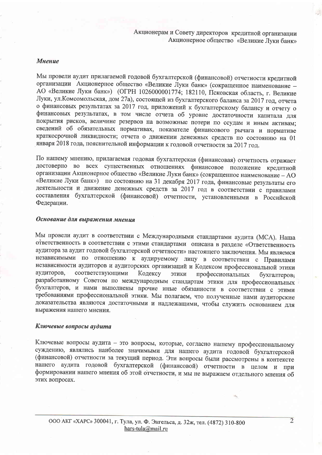Акционерам и Совету директоров кредитной организации Акционерное общество «Великие Луки банк»

#### **Мнение**

Мы провели аудит прилагаемой годовой бухгалтерской (финансовой) отчетности кредитной организации Акционерное общество «Великие Луки банк» (сокращенное наименование -АО «Великие Луки банк») (ОГРН 1026000001774; 182110, Псковская область, г. Великие Луки, ул. Комсомольская, дом 27а), состоящей из бухгалтерского баланса за 2017 год, отчета о финансовых результатах за 2017 год, приложений к бухгалтерскому балансу и отчету о финансовых результатах, в том числе отчета об уровне достаточности капитала для покрытия рисков, величине резервов на возможные потери по ссудам и иным активам; сведений об обязательных нормативах, показателе финансового рычага и нормативе краткосрочной ликвидности; отчета о движении денежных средств по состоянию на 01 января 2018 года, пояснительной информации к годовой отчетности за 2017 год.

По нашему мнению, прилагаемая годовая бухгалтерская (финансовая) отчетность отражает достоверно во всех существенных отношениях финансовое положение кредитной организации Акционерное общество «Великие Луки банк» (сокращенное наименование - АО «Великие Луки банк») по состоянию на 31 декабря 2017 года, финансовые результаты его деятельности и движение денежных средств за 2017 год в соответствии с правилами составления бухгалтерской (финансовой) отчетности, установленными в Российской Федерации.

## Основание для выражения мнения

Мы провели аудит в соответствии с Международными стандартами аудита (МСА). Наша ответственность в соответствии с этими стандартами описана в разделе «Ответственность аудитора за аудит годовой бухгалтерской отчетности» настоящего заключения. Мы являемся независимыми по отношению к аудируемому лицу в соответствии с Правилами независимости аудиторов и аудиторских организаций и Кодексом профессиональной этики аудиторов, соответствующими Кодексу ЭТИКИ профессиональных бухгалтеров; разработанному Советом по международным стандартам этики для профессиональных бухгалтеров, и нами выполнены прочие иные обязанности в соответствии с этими требованиями профессиональной этики. Мы полагаем, что полученные нами аудиторские доказательства являются достаточными и надлежащими, чтобы служить основанием для выражения нашего мнения.

#### Ключевые вопросы аудита

Ключевые вопросы аудита - это вопросы, которые, согласно нашему профессиональному суждению, являлись наиболее значимыми для нашего аудита годовой бухгалтерской (финансовой) отчетности за текущий период. Эти вопросы были рассмотрены в контексте нашего аудита годовой бухгалтерской (финансовой) отчетности в целом и при формировании нашего мнения об этой отчетности, и мы не выражаем отдельного мнения об этих вопросах.

 $\overline{2}$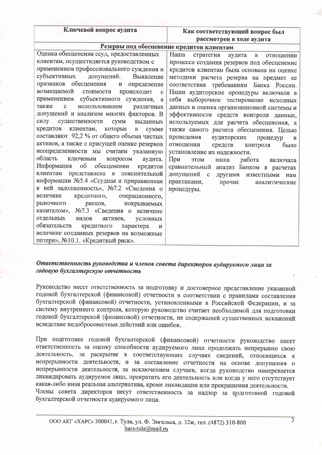| Ключевой вопрос аудита |  |
|------------------------|--|
|------------------------|--|

#### Как соответствующий вопрос был рассмотрен в ходе аудита

# Резервы под обесценение кредитов клиентам

| Оценка обесценения ссуд, предоставленных               | Наша<br>стратегия<br>аудита<br>$\mathbf{B}$<br>отношении |
|--------------------------------------------------------|----------------------------------------------------------|
| клиентам, осуществляется руководством с                | процесса создания резервов под обесценение               |
| применением профессионального суждения и               | кредитов клиентам была основана на оценке                |
| субъективных<br>допущений.<br>Выявление                | методики расчета резерва на предмет ее                   |
| признаков обесценения<br>и определение                 | соответствия требованиям Банка России.                   |
| возмещаемой<br>стоимости<br>происходит<br>$\mathbf{C}$ | Наши аудиторские процедуры включали в                    |
| применением субъективного суждения,<br>a               | себя выборочное тестирование исходных                    |
| также<br>использованием<br>$\mathbf{C}$<br>различных   | данных и оценка организационной системы и                |
| допущений и анализом многих факторов. В                | эффективности средств контроля данных,                   |
| силу существенности<br><b>CYMM</b><br>выданных         | используемых для расчета обесценения, а                  |
| кредитов клиентам,<br>которые<br>$\mathbf{B}$<br>cymme | также самого расчета обесценения. Целью                  |
| составляют 92,2 % от общего объема чистых              | проведения<br>аудиторских<br>процедур<br>$\mathbf{B}$    |
| активов, а также с присущей оценке резервов            | отношении<br>средств<br>было<br>контроля                 |
| неопределенности мы считаем указанную                  | установление их надежности.                              |
| область<br>ключевым<br>вопросом<br>аудита.             | При<br><b>MOTE</b><br>работа<br>наша<br>включала         |
| Информация<br>$\sigma$<br>обесценении<br>кредитов      | сравнительный анализ Банком в расчетах                   |
| клиентам<br>представлена в пояснительной               | допущений<br>$\mathbf{C}$<br>другими известными<br>нам   |
| информации №5.4 «Ссудная и приравненная                | практиками,<br>прочие<br>аналитические                   |
| к ней задолженность», №7.2 «Сведения о                 | процедуры.                                               |
| величине<br>кредитного,<br>операционного,              |                                                          |
| рыночного<br>рисков,<br>покрываемых                    |                                                          |
| №7.3 «Сведения о величине<br>капиталом»,               |                                                          |
| отдельных<br>видов<br>активов,<br>условных             |                                                          |
| обязательств<br>кредитного<br>характера<br>И           |                                                          |
| величине созданных резервов на возможные               |                                                          |
| потери», №10.1. «Кредитный риск».                      |                                                          |

#### Ответственность руководства и членов совета директоров аудируемого лица за годовую бухгалтерскую отчетность

Руководство несет ответственность за подготовку и достоверное представление указанной годовой бухгалтерской (финансовой) отчетности в соответствии с правилами составления бухгалтерской (финансовой) отчетности, установленными в Российской Федерации, и за систему внутреннего контроля, которую руководство считает необходимой для подготовки годовой бухгалтерской (финансовой) отчетности, не содержащей существенных искажений вследствие недобросовестных действий или ошибок.

При подготовке годовой бухгалтерской (финансовой) отчетности руководство несет ответственность за оценку способности аудируемого лица продолжать непрерывно свою деятельность, за раскрытие в соответствующих случаях сведений, относящихся к непрерывности деятельности, и за составление отчетности на основе допущения о непрерывности деятельности, за исключением случаев, когда руководство намеревается ликвидировать аудируемое лицо, прекратить его деятельность или когда у него отсутствует какая-либо иная реальная альтернатива, кроме ликвидации или прекращения деятельности. Члены совета директоров несут ответственность за надзор за подготовкой годовой бухгалтерской отчетности аудируемого лица.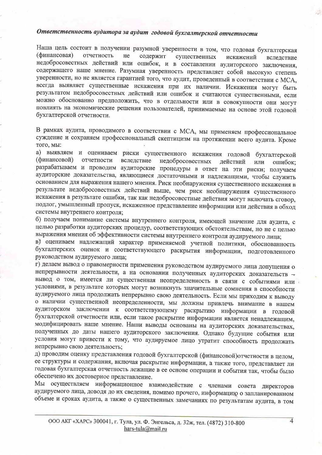# Ответственность аудитора за аудит годовой бухгалтерской отчетности

Наша цель состоит в получении разумной уверенности в том, что годовая бухгалтерская (финансовая) отчетность He содержит существенных искажений вследствие недобросовестных действий или ошибок, и в составлении аудиторского заключения, содержащего наше мнение. Разумная уверенность представляет собой высокую степень уверенности, но не является гарантией того, что аудит, проведенный в соответствии с МСА, всегда выявляет существенные искажения при их наличии. Искажения могут быть результатом недобросовестных действий или ошибок и считаются существенными, если можно обоснованно предположить, что в отдельности или в совокупности они могут повлиять на экономические решения пользователей, принимаемые на основе этой годовой бухгалтерской отчетности.

В рамках аудита, проводимого в соответствии с МСА, мы применяем профессиональное суждение и сохраняем профессиональный скептицизм на протяжении всего аудита. Кроме того, мы:

а) выявляем и оцениваем риски существенного искажения годовой бухгалтерской (финансовой) отчетности вследствие недобросовестных действий или ошибок: разрабатываем и проводим аудиторские процедуры в ответ на эти риски; получаем аудиторские доказательства, являющиеся достаточными и надлежащими, чтобы служить основанием для выражения нашего мнения. Риск необнаружения существенного искажения в результате недобросовестных действий выше, чем риск необнаружения существенного искажения в результате ошибки, так как недобросовестные действия могут включать сговор, подлог, умышленный пропуск, искаженное представление информации или действия в обход системы внутреннего контроля:

б) получаем понимание системы внутреннего контроля, имеющей значение для аудита, с целью разработки аудиторских процедур, соответствующих обстоятельствам, но не с целью выражения мнения об эффективности системы внутреннего контроля аудируемого лица;

в) оцениваем надлежащий характер применяемой учетной политики, обоснованность бухгалтерских оценок и соответствующего раскрытия информации, подготовленного руководством аудируемого лица;

г) делаем вывод о правомерности применения руководством аудируемого лица допущения о непрерывности деятельности, а на основании полученных аудиторских доказательств вывод о том, имеется ли существенная неопределенность в связи с событиями или условиями, в результате которых могут возникнуть значительные сомнения в способности аудируемого лица продолжать непрерывно свою деятельность. Если мы приходим к выводу о наличии существенной неопределенности, мы должны привлечь внимание в нашем аудиторском заключении к соответствующему раскрытию информации в годовой бухгалтерской отчетности или, если такое раскрытие информации является ненадлежащим, модифицировать наше мнение. Наши выводы основаны на аудиторских доказательствах, полученных до даты нашего аудиторского заключения. Однако будущие события или условия могут привести к тому, что аудируемое лицо утратит способность продолжать непрерывно свою деятельность:

д) проводим оценку представления годовой бухгалтерской (финансовой) отчетности в целом, ее структуры и содержания, включая раскрытие информации, а также того, представляет ли годовая бухгалтерская отчетность лежащие в ее основе операции и события так, чтобы было обеспечено их достоверное представление.

Мы осуществляем информационное взаимодействие с членами совета директоров аудируемого лица, доводя до их сведения, помимо прочего, информацию о запланированном объеме и сроках аудита, а также о существенных замечаниях по результатам аудита, в том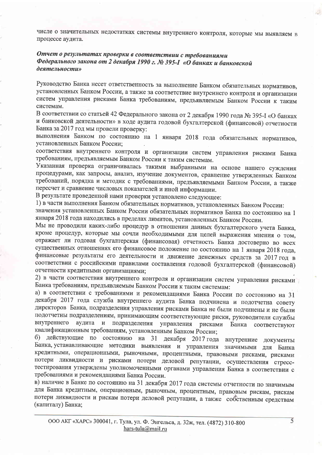числе о значительных недостатках системы внутреннего контроля, которые мы выявляем в процессе аудита.

### Отчет о результатах проверки в соответствии с требованиями Федерального закона от 2 декабря 1990 г. № 395-I «О банках и банковской деятельности»

Руководство Банка несет ответственность за выполнение Банком обязательных нормативов, установленных Банком России, а также за соответствие внутреннего контроля и организации систем управления рисками Банка требованиям, предъявляемым Банком России к таким системам.

В соответствии со статьей 42 Федерального закона от 2 декабря 1990 года № 395-I «О банках и банковской деятельности» в ходе аудита годовой бухгалтерской (финансовой) отчетности Банка за 2017 год мы провели проверку:

выполнения Банком по состоянию на 1 января 2018 года обязательных нормативов, установленных Банком России;

соответствия внутреннего контроля и организации систем управления рисками Банка требованиям, предъявляемым Банком России к таким системам.

Указанная проверка ограничивалась такими выбранными на основе нашего суждения процедурами, как запросы, анализ, изучение документов, сравнение утвержденных Банком требований, порядка и методик с требованиями, предъявляемыми Банком России, а также пересчет и сравнение числовых показателей и иной информации.

В результате проведенной нами проверки установлено следующее:

1) в части выполнения Банком обязательных нормативов, установленных Банком России:

значения установленных Банком России обязательных нормативов Банка по состоянию на 1 января 2018 года находились в пределах лимитов, установленных Банком России.

Мы не проводили каких-либо процедур в отношении данных бухгалтерского учета Банка, кроме процедур, которые мы сочли необходимыми для целей выражения мнения о том, отражает ли годовая бухгалтерская (финансовая) отчетность Банка достоверно во всех существенных отношениях его финансовое положение по состоянию на 1 января 2018 года, финансовые результаты его деятельности и движение денежных средств за 2017 год в соответствии с российскими правилами составления годовой бухгалтерской (финансовой) отчетности кредитными организациями;

2) в части соответствия внутреннего контроля и организации систем управления рисками Банка требованиям, предъявляемым Банком России к таким системам:

а) в соответствии с требованиями и рекомендациями Банка России по состоянию на 31 декабря 2017 года служба внутреннего аудита Банка подчинена и подотчетна совету директоров Банка, подразделения управления рисками Банка не были подчинены и не были подотчетны подразделениям, принимающим соответствующие риски, руководители службы внутреннего аудита и подразделения управления рисками Банка соответствуют квалификационным требованиям, установленным Банком России;

б) действующие по состоянию на 31 декабря 2017 года внутренние документы Банка, устанавливающие методики выявления и управления значимыми для Банка кредитными, операционными, рыночными, процентными, правовыми рисками, рисками потери ликвидности и рисками потери деловой репутации, осуществления стресстестирования утверждены уполномоченными органами управления Банка в соответствии с требованиями и рекомендациями Банка России.

в) наличие в Банке по состоянию на 31 декабря 2017 года системы отчетности по значимым для Банка кредитным, операционным, рыночным, процентным, правовым рискам, рискам потери ликвидности и рискам потери деловой репутации, а также собственным средствам (капиталу) Банка;